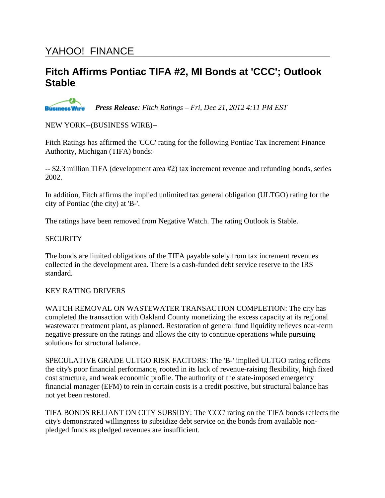# YAHOO! FINANCE

# **Fitch Affirms Pontiac TIFA #2, MI Bonds at 'CCC'; Outlook Stable**

**Business Wire** *Press Release: Fitch Ratings – Fri, Dec 21, 2012 4:11 PM EST*

NEW YORK--(BUSINESS WIRE)--

Fitch Ratings has affirmed the 'CCC' rating for the following Pontiac Tax Increment Finance Authority, Michigan (TIFA) bonds:

-- \$2.3 million TIFA (development area #2) tax increment revenue and refunding bonds, series 2002.

In addition, Fitch affirms the implied unlimited tax general obligation (ULTGO) rating for the city of Pontiac (the city) at 'B-'.

The ratings have been removed from Negative Watch. The rating Outlook is Stable.

#### **SECURITY**

The bonds are limited obligations of the TIFA payable solely from tax increment revenues collected in the development area. There is a cash-funded debt service reserve to the IRS standard.

### KEY RATING DRIVERS

WATCH REMOVAL ON WASTEWATER TRANSACTION COMPLETION: The city has completed the transaction with Oakland County monetizing the excess capacity at its regional wastewater treatment plant, as planned. Restoration of general fund liquidity relieves near-term negative pressure on the ratings and allows the city to continue operations while pursuing solutions for structural balance.

SPECULATIVE GRADE ULTGO RISK FACTORS: The 'B-' implied ULTGO rating reflects the city's poor financial performance, rooted in its lack of revenue-raising flexibility, high fixed cost structure, and weak economic profile. The authority of the state-imposed emergency financial manager (EFM) to rein in certain costs is a credit positive, but structural balance has not yet been restored.

TIFA BONDS RELIANT ON CITY SUBSIDY: The 'CCC' rating on the TIFA bonds reflects the city's demonstrated willingness to subsidize debt service on the bonds from available nonpledged funds as pledged revenues are insufficient.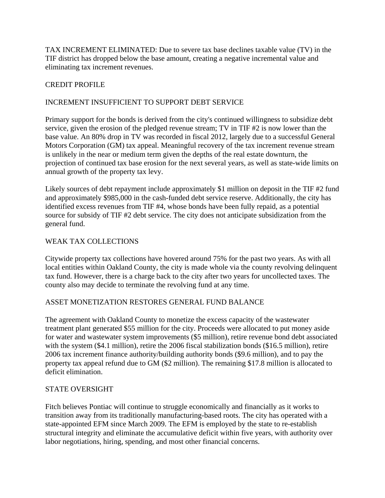TAX INCREMENT ELIMINATED: Due to severe tax base declines taxable value (TV) in the TIF district has dropped below the base amount, creating a negative incremental value and eliminating tax increment revenues.

# CREDIT PROFILE

# INCREMENT INSUFFICIENT TO SUPPORT DEBT SERVICE

Primary support for the bonds is derived from the city's continued willingness to subsidize debt service, given the erosion of the pledged revenue stream; TV in TIF #2 is now lower than the base value. An 80% drop in TV was recorded in fiscal 2012, largely due to a successful General Motors Corporation (GM) tax appeal. Meaningful recovery of the tax increment revenue stream is unlikely in the near or medium term given the depths of the real estate downturn, the projection of continued tax base erosion for the next several years, as well as state-wide limits on annual growth of the property tax levy.

Likely sources of debt repayment include approximately \$1 million on deposit in the TIF #2 fund and approximately \$985,000 in the cash-funded debt service reserve. Additionally, the city has identified excess revenues from TIF #4, whose bonds have been fully repaid, as a potential source for subsidy of TIF #2 debt service. The city does not anticipate subsidization from the general fund.

### WEAK TAX COLLECTIONS

Citywide property tax collections have hovered around 75% for the past two years. As with all local entities within Oakland County, the city is made whole via the county revolving delinquent tax fund. However, there is a charge back to the city after two years for uncollected taxes. The county also may decide to terminate the revolving fund at any time.

### ASSET MONETIZATION RESTORES GENERAL FUND BALANCE

The agreement with Oakland County to monetize the excess capacity of the wastewater treatment plant generated \$55 million for the city. Proceeds were allocated to put money aside for water and wastewater system improvements (\$5 million), retire revenue bond debt associated with the system (\$4.1 million), retire the 2006 fiscal stabilization bonds (\$16.5 million), retire 2006 tax increment finance authority/building authority bonds (\$9.6 million), and to pay the property tax appeal refund due to GM (\$2 million). The remaining \$17.8 million is allocated to deficit elimination.

### STATE OVERSIGHT

Fitch believes Pontiac will continue to struggle economically and financially as it works to transition away from its traditionally manufacturing-based roots. The city has operated with a state-appointed EFM since March 2009. The EFM is employed by the state to re-establish structural integrity and eliminate the accumulative deficit within five years, with authority over labor negotiations, hiring, spending, and most other financial concerns.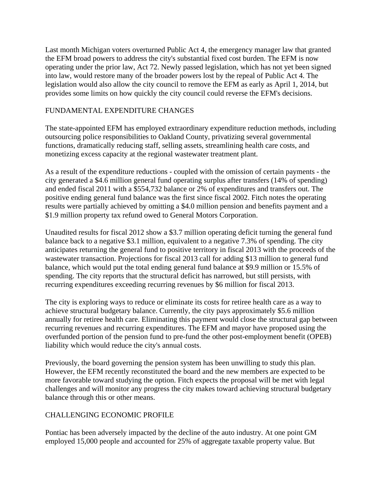Last month Michigan voters overturned Public Act 4, the emergency manager law that granted the EFM broad powers to address the city's substantial fixed cost burden. The EFM is now operating under the prior law, Act 72. Newly passed legislation, which has not yet been signed into law, would restore many of the broader powers lost by the repeal of Public Act 4. The legislation would also allow the city council to remove the EFM as early as April 1, 2014, but provides some limits on how quickly the city council could reverse the EFM's decisions.

# FUNDAMENTAL EXPENDITURE CHANGES

The state-appointed EFM has employed extraordinary expenditure reduction methods, including outsourcing police responsibilities to Oakland County, privatizing several governmental functions, dramatically reducing staff, selling assets, streamlining health care costs, and monetizing excess capacity at the regional wastewater treatment plant.

As a result of the expenditure reductions - coupled with the omission of certain payments - the city generated a \$4.6 million general fund operating surplus after transfers (14% of spending) and ended fiscal 2011 with a \$554,732 balance or 2% of expenditures and transfers out. The positive ending general fund balance was the first since fiscal 2002. Fitch notes the operating results were partially achieved by omitting a \$4.0 million pension and benefits payment and a \$1.9 million property tax refund owed to General Motors Corporation.

Unaudited results for fiscal 2012 show a \$3.7 million operating deficit turning the general fund balance back to a negative \$3.1 million, equivalent to a negative 7.3% of spending. The city anticipates returning the general fund to positive territory in fiscal 2013 with the proceeds of the wastewater transaction. Projections for fiscal 2013 call for adding \$13 million to general fund balance, which would put the total ending general fund balance at \$9.9 million or 15.5% of spending. The city reports that the structural deficit has narrowed, but still persists, with recurring expenditures exceeding recurring revenues by \$6 million for fiscal 2013.

The city is exploring ways to reduce or eliminate its costs for retiree health care as a way to achieve structural budgetary balance. Currently, the city pays approximately \$5.6 million annually for retiree health care. Eliminating this payment would close the structural gap between recurring revenues and recurring expenditures. The EFM and mayor have proposed using the overfunded portion of the pension fund to pre-fund the other post-employment benefit (OPEB) liability which would reduce the city's annual costs.

Previously, the board governing the pension system has been unwilling to study this plan. However, the EFM recently reconstituted the board and the new members are expected to be more favorable toward studying the option. Fitch expects the proposal will be met with legal challenges and will monitor any progress the city makes toward achieving structural budgetary balance through this or other means.

### CHALLENGING ECONOMIC PROFILE

Pontiac has been adversely impacted by the decline of the auto industry. At one point GM employed 15,000 people and accounted for 25% of aggregate taxable property value. But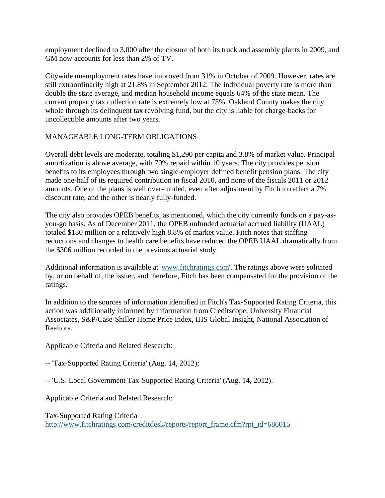employment declined to 3,000 after the closure of both its truck and assembly plants in 2009, and GM now accounts for less than 2% of TV.

Citywide unemployment rates have improved from 31% in October of 2009. However, rates are still extraordinarily high at 21.8% in September 2012. The individual poverty rate is more than double the state average, and median household income equals 64% of the state mean. The current property tax collection rate is extremely low at 75%. Oakland County makes the city whole through its delinquent tax revolving fund, but the city is liable for charge-backs for uncollectible amounts after two years.

### MANAGEABLE LONG-TERM OBLIGATIONS

Overall debt levels are moderate, totaling \$1,290 per capita and 3.8% of market value. Principal amortization is above average, with 70% repaid within 10 years. The city provides pension benefits to its employees through two single-employer defined benefit pension plans. The city made one-half of its required contribution in fiscal 2010, and none of the fiscals 2011 or 2012 amounts. One of the plans is well over-funded, even after adjustment by Fitch to reflect a 7% discount rate, and the other is nearly fully-funded.

The city also provides OPEB benefits, as mentioned, which the city currently funds on a pay-asyou-go basis. As of December 2011, the OPEB unfunded actuarial accrued liability (UAAL) totaled \$180 million or a relatively high 8.8% of market value. Fitch notes that staffing reductions and changes to health care benefits have reduced the OPEB UAAL dramatically from the \$306 million recorded in the previous actuarial study.

Additional information is available at 'www.fitchratings.com'. The ratings above were solicited by, or on behalf of, the issuer, and therefore, Fitch has been compensated for the provision of the ratings.

In addition to the sources of information identified in Fitch's Tax-Supported Rating Criteria, this action was additionally informed by information from Creditscope, University Financial Associates, S&P/Case-Shiller Home Price Index, IHS Global Insight, National Association of Realtors.

Applicable Criteria and Related Research:

-- 'Tax-Supported Rating Criteria' (Aug. 14, 2012);

-- 'U.S. Local Government Tax-Supported Rating Criteria' (Aug. 14, 2012).

Applicable Criteria and Related Research:

Tax-Supported Rating Criteria http://www.fitchratings.com/creditdesk/reports/report\_frame.cfm?rpt\_id=686015